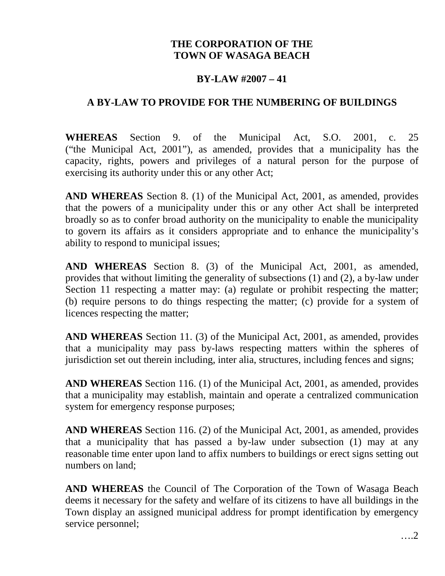### **THE CORPORATION OF THE TOWN OF WASAGA BEACH**

### **BY-LAW #2007 – 41**

#### **A BY-LAW TO PROVIDE FOR THE NUMBERING OF BUILDINGS**

**WHEREAS** Section 9. of the Municipal Act, S.O. 2001, c. 25 ("the Municipal Act, 2001"), as amended, provides that a municipality has the capacity, rights, powers and privileges of a natural person for the purpose of exercising its authority under this or any other Act;

**AND WHEREAS** Section 8. (1) of the Municipal Act, 2001, as amended, provides that the powers of a municipality under this or any other Act shall be interpreted broadly so as to confer broad authority on the municipality to enable the municipality to govern its affairs as it considers appropriate and to enhance the municipality's ability to respond to municipal issues;

**AND WHEREAS** Section 8. (3) of the Municipal Act, 2001, as amended, provides that without limiting the generality of subsections (1) and (2), a by-law under Section 11 respecting a matter may: (a) regulate or prohibit respecting the matter; (b) require persons to do things respecting the matter; (c) provide for a system of licences respecting the matter;

**AND WHEREAS** Section 11. (3) of the Municipal Act, 2001, as amended, provides that a municipality may pass by-laws respecting matters within the spheres of jurisdiction set out therein including, inter alia, structures, including fences and signs;

**AND WHEREAS** Section 116. (1) of the Municipal Act, 2001, as amended, provides that a municipality may establish, maintain and operate a centralized communication system for emergency response purposes;

**AND WHEREAS** Section 116. (2) of the Municipal Act, 2001, as amended, provides that a municipality that has passed a by-law under subsection (1) may at any reasonable time enter upon land to affix numbers to buildings or erect signs setting out numbers on land;

**AND WHEREAS** the Council of The Corporation of the Town of Wasaga Beach deems it necessary for the safety and welfare of its citizens to have all buildings in the Town display an assigned municipal address for prompt identification by emergency service personnel;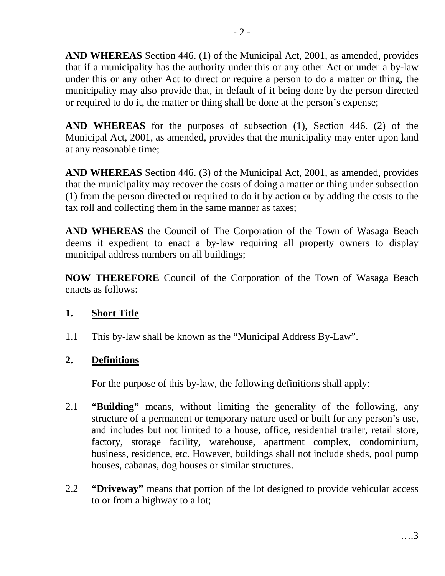**AND WHEREAS** Section 446. (1) of the Municipal Act, 2001, as amended, provides that if a municipality has the authority under this or any other Act or under a by-law under this or any other Act to direct or require a person to do a matter or thing, the municipality may also provide that, in default of it being done by the person directed or required to do it, the matter or thing shall be done at the person's expense;

**AND WHEREAS** for the purposes of subsection (1), Section 446. (2) of the Municipal Act, 2001, as amended, provides that the municipality may enter upon land at any reasonable time;

**AND WHEREAS** Section 446. (3) of the Municipal Act, 2001, as amended, provides that the municipality may recover the costs of doing a matter or thing under subsection (1) from the person directed or required to do it by action or by adding the costs to the tax roll and collecting them in the same manner as taxes;

**AND WHEREAS** the Council of The Corporation of the Town of Wasaga Beach deems it expedient to enact a by-law requiring all property owners to display municipal address numbers on all buildings;

**NOW THEREFORE** Council of the Corporation of the Town of Wasaga Beach enacts as follows:

### **1. Short Title**

1.1 This by-law shall be known as the "Municipal Address By-Law".

## **2. Definitions**

For the purpose of this by-law, the following definitions shall apply:

- 2.1 **"Building"** means, without limiting the generality of the following, any structure of a permanent or temporary nature used or built for any person's use, and includes but not limited to a house, office, residential trailer, retail store, factory, storage facility, warehouse, apartment complex, condominium, business, residence, etc. However, buildings shall not include sheds, pool pump houses, cabanas, dog houses or similar structures.
- 2.2 **"Driveway"** means that portion of the lot designed to provide vehicular access to or from a highway to a lot;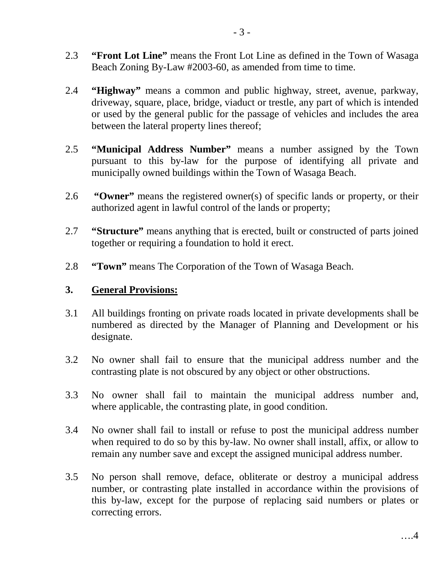- 2.3 **"Front Lot Line"** means the Front Lot Line as defined in the Town of Wasaga Beach Zoning By-Law #2003-60, as amended from time to time.
- 2.4 **"Highway"** means a common and public highway, street, avenue, parkway, driveway, square, place, bridge, viaduct or trestle, any part of which is intended or used by the general public for the passage of vehicles and includes the area between the lateral property lines thereof;
- 2.5 **"Municipal Address Number"** means a number assigned by the Town pursuant to this by-law for the purpose of identifying all private and municipally owned buildings within the Town of Wasaga Beach.
- 2.6 **"Owner"** means the registered owner(s) of specific lands or property, or their authorized agent in lawful control of the lands or property;
- 2.7 **"Structure"** means anything that is erected, built or constructed of parts joined together or requiring a foundation to hold it erect.
- 2.8 **"Town"** means The Corporation of the Town of Wasaga Beach.

### **3. General Provisions:**

- 3.1 All buildings fronting on private roads located in private developments shall be numbered as directed by the Manager of Planning and Development or his designate.
- 3.2 No owner shall fail to ensure that the municipal address number and the contrasting plate is not obscured by any object or other obstructions.
- 3.3 No owner shall fail to maintain the municipal address number and, where applicable, the contrasting plate, in good condition.
- 3.4 No owner shall fail to install or refuse to post the municipal address number when required to do so by this by-law. No owner shall install, affix, or allow to remain any number save and except the assigned municipal address number.
- 3.5 No person shall remove, deface, obliterate or destroy a municipal address number, or contrasting plate installed in accordance within the provisions of this by-law, except for the purpose of replacing said numbers or plates or correcting errors.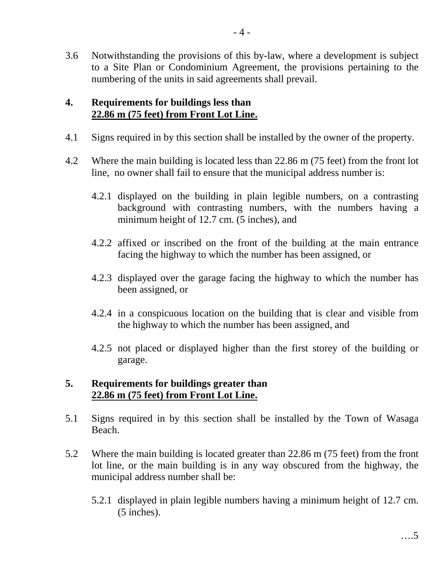3.6 Notwithstanding the provisions of this by-law, where a development is subject to a Site Plan or Condominium Agreement, the provisions pertaining to the numbering of the units in said agreements shall prevail.

### **4. Requirements for buildings less than 22.86 m (75 feet) from Front Lot Line.**

- 4.1 Signs required in by this section shall be installed by the owner of the property.
- 4.2 Where the main building is located less than 22.86 m (75 feet) from the front lot line, no owner shall fail to ensure that the municipal address number is:
	- 4.2.1 displayed on the building in plain legible numbers, on a contrasting background with contrasting numbers, with the numbers having a minimum height of 12.7 cm. (5 inches), and
	- 4.2.2 affixed or inscribed on the front of the building at the main entrance facing the highway to which the number has been assigned, or
	- 4.2.3 displayed over the garage facing the highway to which the number has been assigned, or
	- 4.2.4 in a conspicuous location on the building that is clear and visible from the highway to which the number has been assigned, and
	- 4.2.5 not placed or displayed higher than the first storey of the building or garage.

### **5. Requirements for buildings greater than 22.86 m (75 feet) from Front Lot Line.**

- 5.1 Signs required in by this section shall be installed by the Town of Wasaga Beach.
- 5.2 Where the main building is located greater than 22.86 m (75 feet) from the front lot line, or the main building is in any way obscured from the highway, the municipal address number shall be:
	- 5.2.1 displayed in plain legible numbers having a minimum height of 12.7 cm. (5 inches).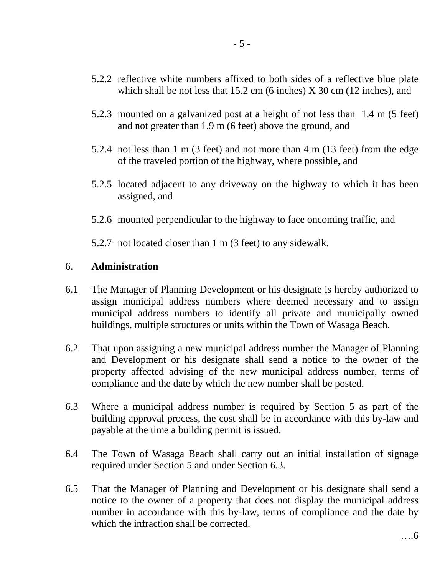- 5.2.2 reflective white numbers affixed to both sides of a reflective blue plate which shall be not less that 15.2 cm (6 inches) X 30 cm (12 inches), and
- 5.2.3 mounted on a galvanized post at a height of not less than 1.4 m (5 feet) and not greater than 1.9 m (6 feet) above the ground, and
- 5.2.4 not less than 1 m (3 feet) and not more than 4 m (13 feet) from the edge of the traveled portion of the highway, where possible, and
- 5.2.5 located adjacent to any driveway on the highway to which it has been assigned, and
- 5.2.6 mounted perpendicular to the highway to face oncoming traffic, and

5.2.7 not located closer than 1 m (3 feet) to any sidewalk.

### 6. **Administration**

- 6.1 The Manager of Planning Development or his designate is hereby authorized to assign municipal address numbers where deemed necessary and to assign municipal address numbers to identify all private and municipally owned buildings, multiple structures or units within the Town of Wasaga Beach.
- 6.2 That upon assigning a new municipal address number the Manager of Planning and Development or his designate shall send a notice to the owner of the property affected advising of the new municipal address number, terms of compliance and the date by which the new number shall be posted.
- 6.3 Where a municipal address number is required by Section 5 as part of the building approval process, the cost shall be in accordance with this by-law and payable at the time a building permit is issued.
- 6.4 The Town of Wasaga Beach shall carry out an initial installation of signage required under Section 5 and under Section 6.3.
- 6.5 That the Manager of Planning and Development or his designate shall send a notice to the owner of a property that does not display the municipal address number in accordance with this by-law, terms of compliance and the date by which the infraction shall be corrected.

….6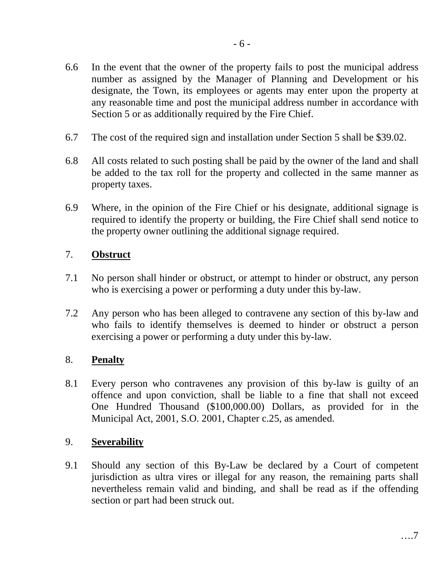- 6.6 In the event that the owner of the property fails to post the municipal address number as assigned by the Manager of Planning and Development or his designate, the Town, its employees or agents may enter upon the property at any reasonable time and post the municipal address number in accordance with Section 5 or as additionally required by the Fire Chief.
- 6.7 The cost of the required sign and installation under Section 5 shall be \$39.02.
- 6.8 All costs related to such posting shall be paid by the owner of the land and shall be added to the tax roll for the property and collected in the same manner as property taxes.
- 6.9 Where, in the opinion of the Fire Chief or his designate, additional signage is required to identify the property or building, the Fire Chief shall send notice to the property owner outlining the additional signage required.

#### 7. **Obstruct**

- 7.1 No person shall hinder or obstruct, or attempt to hinder or obstruct, any person who is exercising a power or performing a duty under this by-law.
- 7.2 Any person who has been alleged to contravene any section of this by-law and who fails to identify themselves is deemed to hinder or obstruct a person exercising a power or performing a duty under this by-law.

#### 8. **Penalty**

8.1 Every person who contravenes any provision of this by-law is guilty of an offence and upon conviction, shall be liable to a fine that shall not exceed One Hundred Thousand (\$100,000.00) Dollars, as provided for in the Municipal Act, 2001, S.O. 2001, Chapter c.25, as amended.

#### 9. **Severability**

9.1 Should any section of this By-Law be declared by a Court of competent jurisdiction as ultra vires or illegal for any reason, the remaining parts shall nevertheless remain valid and binding, and shall be read as if the offending section or part had been struck out.